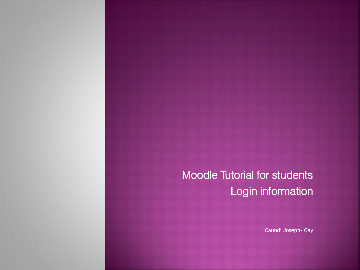## Moodle Tutorial for students Login information

Caundi Joseph- Gay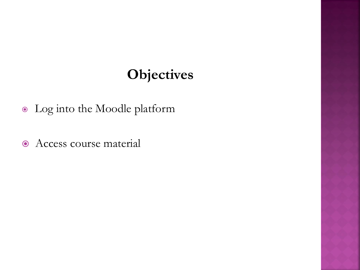## **Objectives**

- Log into the Moodle platform
- $\odot$  Access course material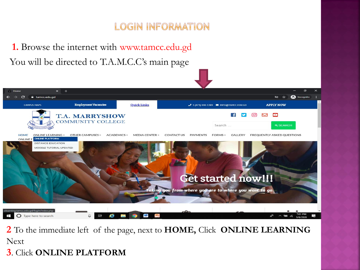#### **LOGIN INFORMATION**

**1.** Browse the internet with www.tamcc.edu.gd You will be directed to T.A.M.C.C's main page



**2** To the immediate left of the page, next to **HOME,** Click **ONLINE LEARNING**  Next

**3**. Click **ONLINE PLATFORM**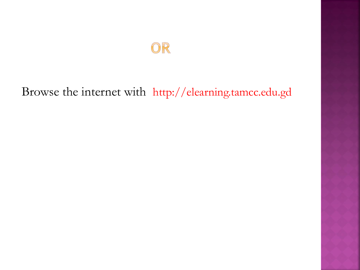## OR

## Browse the internet with http://elearning.tamcc.edu.gd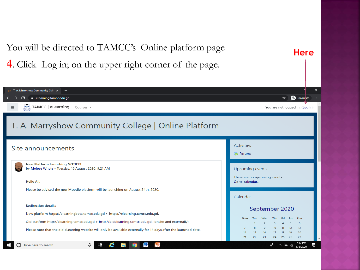You will be directed to TAMCC's Online platform page **Here4**. Click Log in; on the upper right corner of the page. 1 T. A. Marryshow Community Collex + **ed** Incogrito G elearning.tamcc.edu.gd ☆ Æ TAMCC | eLearning ≡ Courses -You are not logged in. (Log in) T. A. Marryshow Community College | Online Platform **Activities** Site announcements G Forums **New Platform Launching NOTICE!** by Moiese Whyte - Tuesday, 18 August 2020, 9:21 AM Upcoming events There are no upcoming events Hello All, Go to calendar... Please be advised the new Moodle platform will be launching on August 24th, 2020. Calendar **Redirection details:** September 2020 New platform https://elearningbeta.tamcc.edu.gd > https://elearning.tamcc.edu.gd. Mon Wed Sun Old platform http://elearning.tamcc.edu.gd > http://oldelearning.tamcc.edu.gd. (onsite and externally) 6 13 Please note that the old eLearning website will only be available externally for 14 days after the launched date. 16 17 18 19 20 21 22 23 24 26 27 25 7:12 PM 長 Type here to search l. 9/6/2020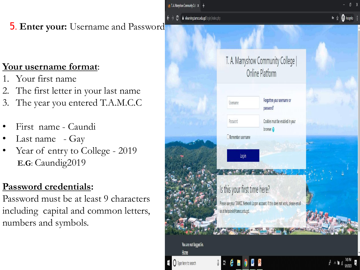in T. A. Marryshow Community Coll X +

#### **C** i elearning.tamcc.edu.gd/login/index.php

#### 5. **Enter your:** Username and Password

#### **Your username format**:

- 1. Your first name
- 2. The first letter in your last name
- 3. The year you entered T.A.M.C.C
- First name Caundi
- Last name Gay
- Year of entry to College 2019 **E.G**: Caundig2019

#### **Password credentials:**

Password must be at least 9 characters including capital and common letters, numbers and symbols.

|                                                                 | T. A. Marryshow Community College  <br>Online Platform                                                                                            |                                                                            |         |
|-----------------------------------------------------------------|---------------------------------------------------------------------------------------------------------------------------------------------------|----------------------------------------------------------------------------|---------|
|                                                                 | Username<br>Password                                                                                                                              | Forgotten your username or<br>password?<br>Cookies must be enabled in your |         |
|                                                                 | $\Box$ Remember username<br>$\log$ in                                                                                                             | browser <sup>2</sup>                                                       |         |
|                                                                 | Is this your first time here?<br>Please use your TAMCC Network Logon account. If this does not work, please email<br>us at helpdesk@tamcc.edu.gd. |                                                                            |         |
| You are not logged in.<br>Home<br>$\bigcap$ Type here to search | ğ                                                                                                                                                 |                                                                            | 7:45 PM |

 $\bullet \quad \star \quad \bigoplus$  Incognito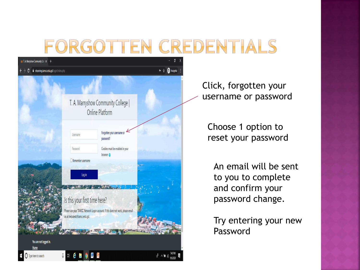# FORGOTTEN CREDENTIALS



Click, forgotten your username or password

Choose 1 option to reset your password

An email will be sent to you to complete and confirm your password change.

Try entering your new Password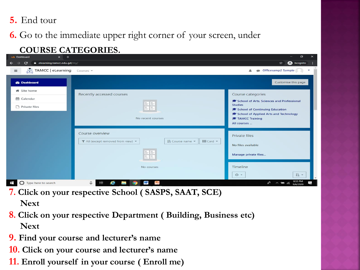#### **5**. End tour

#### **6.** Go to the immediate upper right corner of your screen, under

#### **COURSE CATEGORIES.**

| in Dashboard<br>$\times$ +                                            |                                                                          | $\Box$<br>$\times$                                             |  |  |
|-----------------------------------------------------------------------|--------------------------------------------------------------------------|----------------------------------------------------------------|--|--|
| <b>e</b> Incognito<br>$\mathbf{C}$<br>elearning.tamcc.edu.gd/my/<br>☆ |                                                                          |                                                                |  |  |
| TAMCC   eLearning Courses<br>$\equiv$                                 |                                                                          | <b>Officesamp2 Sample</b>                                      |  |  |
| <b>@</b> Dashboard                                                    |                                                                          | Customise this page                                            |  |  |
| <b>备</b> Site home                                                    | Recently accessed courses                                                | Course categories                                              |  |  |
| Calendar                                                              |                                                                          | School of Arts, Sciences and Professional                      |  |  |
| Private files                                                         | HE E                                                                     | <b>Studies</b><br>School of Continuing Education               |  |  |
|                                                                       | No recent courses                                                        | School of Applied Arts and Technology<br><b>TAMCC Training</b> |  |  |
|                                                                       |                                                                          | All courses                                                    |  |  |
|                                                                       | Course overview                                                          | Private files                                                  |  |  |
|                                                                       | ↓ Course name ▼<br><b>III</b> Card<br>T All (except removed from view) - | No files available                                             |  |  |
|                                                                       | E E                                                                      | Manage private files                                           |  |  |
|                                                                       | No courses                                                               | Timeline                                                       |  |  |
|                                                                       |                                                                          | 上一<br>$\odot$ -                                                |  |  |
| <b>O</b> Type here to search<br>$\pm$                                 | Ps<br>e<br>W<br>草<br>口<br>$rac{1}{2}$                                    | 8:33 PM<br>$R^2$<br>長<br>$\wedge$ 9 (6<br>9/6/2020             |  |  |

- **7. Click on your respective School ( SASPS, SAAT, SCE) Next**
- **8. Click on your respective Department ( Building, Business etc) Next**
- **9. Find your course and lecturer's name**
- **10. Click on your course and lecturer's name**
- **11. Enroll yourself in your course ( Enroll me)**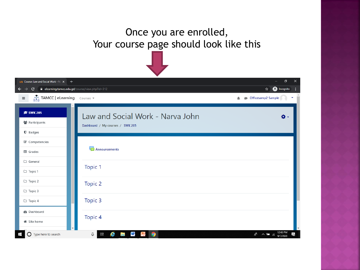### Once you are enrolled, Your course page should look like this



| n Course: Law and Social Work - Na X<br>$+$          |                                                                      | ð<br>$\times$                                            |  |
|------------------------------------------------------|----------------------------------------------------------------------|----------------------------------------------------------|--|
| elearning.tamcc.edu.gd/course/view.php?id=312<br>С   |                                                                      | <b>O</b> Incognito<br>☆                                  |  |
| $\frac{1}{\sqrt{1-x}}$ TAMCC   eLearning<br>$\equiv$ | Courses -                                                            | Officesamp2 Sample                                       |  |
| <b>@ SWK 205</b><br>참 Participants<br>$\n  D$ Badges | Law and Social Work - Narva John<br>Dashboard / My courses / SWK 205 | ۰ په                                                     |  |
| $\mathcal G$ Competencies<br><b>田</b> Grades         | Announcements                                                        |                                                          |  |
| □ General<br>□ Topic 1                               | Topic 1                                                              |                                                          |  |
| □ Topic 2<br>$\Box$ Topic 3                          | Topic 2                                                              |                                                          |  |
| $\Box$ Topic 4                                       | Topic 3                                                              |                                                          |  |
| <b>B</b> Dashboard<br><b>备</b> Site home             | Topic 4                                                              |                                                          |  |
| $\bigcirc$ Type here to search<br>⊞                  | Q<br>e<br>W<br>Ξi<br>$\bullet$<br><b>Contract</b><br>ĸ               | 12:43 PM<br>$R^2 \wedge \blacksquare$ 6<br>長<br>9/7/2020 |  |